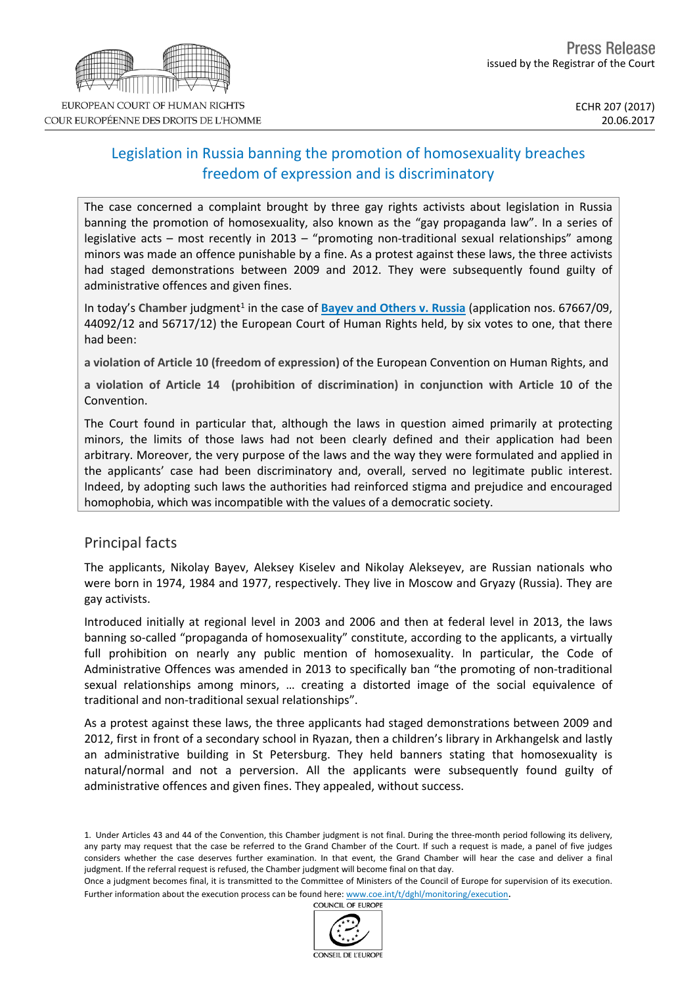# Legislation in Russia banning the promotion of homosexuality breaches freedom of expression and is discriminatory

The case concerned a complaint brought by three gay rights activists about legislation in Russia banning the promotion of homosexuality, also known as the "gay propaganda law". In a series of legislative acts – most recently in 2013 – "promoting non-traditional sexual relationships" among minors was made an offence punishable by a fine. As a protest against these laws, the three activists had staged demonstrations between 2009 and 2012. They were subsequently found guilty of administrative offences and given fines.

In today's Chamber judgment<sup>1</sup> in the case of **Bayev and [Others](http://hudoc.echr.coe.int/eng?i=001-174422) v. Russia** (application nos. 67667/09, 44092/12 and 56717/12) the European Court of Human Rights held, by six votes to one, that there had been:

**a violation of Article 10 (freedom of expression)** of the European Convention on Human Rights, and

**a violation of Article 14 (prohibition of discrimination) in conjunction with Article 10** of the Convention.

The Court found in particular that, although the laws in question aimed primarily at protecting minors, the limits of those laws had not been clearly defined and their application had been arbitrary. Moreover, the very purpose of the laws and the way they were formulated and applied in the applicants' case had been discriminatory and, overall, served no legitimate public interest. Indeed, by adopting such laws the authorities had reinforced stigma and prejudice and encouraged homophobia, which was incompatible with the values of a democratic society.

### Principal facts

The applicants, Nikolay Bayev, Aleksey Kiselev and Nikolay Alekseyev, are Russian nationals who were born in 1974, 1984 and 1977, respectively. They live in Moscow and Gryazy (Russia). They are gay activists.

Introduced initially at regional level in 2003 and 2006 and then at federal level in 2013, the laws banning so-called "propaganda of homosexuality" constitute, according to the applicants, a virtually full prohibition on nearly any public mention of homosexuality. In particular, the Code of Administrative Offences was amended in 2013 to specifically ban "the promoting of non-traditional sexual relationships among minors, … creating a distorted image of the social equivalence of traditional and non-traditional sexual relationships".

As a protest against these laws, the three applicants had staged demonstrations between 2009 and 2012, first in front of a secondary school in Ryazan, then a children's library in Arkhangelsk and lastly an administrative building in St Petersburg. They held banners stating that homosexuality is natural/normal and not a perversion. All the applicants were subsequently found guilty of administrative offences and given fines. They appealed, without success.





<sup>1.</sup> Under Articles 43 and 44 of the Convention, this Chamber judgment is not final. During the three-month period following its delivery, any party may request that the case be referred to the Grand Chamber of the Court. If such a request is made, a panel of five judges considers whether the case deserves further examination. In that event, the Grand Chamber will hear the case and deliver a final judgment. If the referral request is refused, the Chamber judgment will become final on that day.

Once a judgment becomes final, it is transmitted to the Committee of Ministers of the Council of Europe for supervision of its execution. Further information about the execution process can be found here: [www.coe.int/t/dghl/monitoring/execution](http://www.coe.int/t/dghl/monitoring/execution).<br>COUNCIL OF FUROPE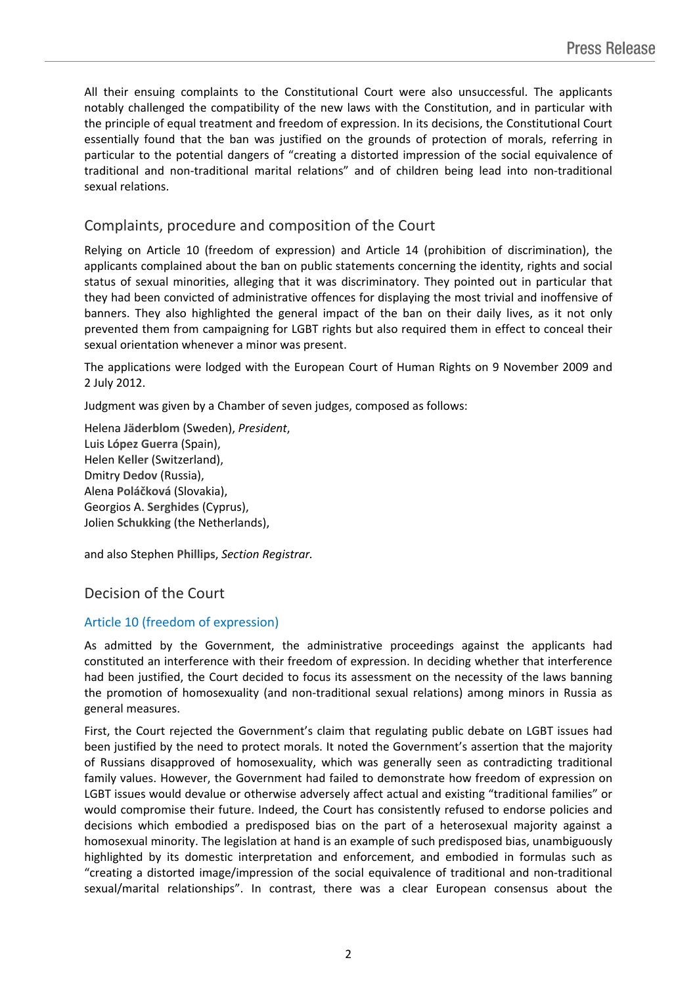All their ensuing complaints to the Constitutional Court were also unsuccessful. The applicants notably challenged the compatibility of the new laws with the Constitution, and in particular with the principle of equal treatment and freedom of expression. In its decisions, the Constitutional Court essentially found that the ban was justified on the grounds of protection of morals, referring in particular to the potential dangers of "creating a distorted impression of the social equivalence of traditional and non-traditional marital relations" and of children being lead into non-traditional sexual relations.

## Complaints, procedure and composition of the Court

Relying on Article 10 (freedom of expression) and Article 14 (prohibition of discrimination), the applicants complained about the ban on public statements concerning the identity, rights and social status of sexual minorities, alleging that it was discriminatory. They pointed out in particular that they had been convicted of administrative offences for displaying the most trivial and inoffensive of banners. They also highlighted the general impact of the ban on their daily lives, as it not only prevented them from campaigning for LGBT rights but also required them in effect to conceal their sexual orientation whenever a minor was present.

The applications were lodged with the European Court of Human Rights on 9 November 2009 and 2 July 2012.

Judgment was given by a Chamber of seven judges, composed as follows:

Helena **Jäderblom** (Sweden), *President*, Luis **López Guerra** (Spain), Helen **Keller** (Switzerland), Dmitry **Dedov** (Russia), Alena **Poláčková** (Slovakia), Georgios A. **Serghides** (Cyprus), Jolien **Schukking** (the Netherlands),

and also Stephen **Phillips**, *Section Registrar.*

## Decision of the Court

### Article 10 (freedom of expression)

As admitted by the Government, the administrative proceedings against the applicants had constituted an interference with their freedom of expression. In deciding whether that interference had been justified, the Court decided to focus its assessment on the necessity of the laws banning the promotion of homosexuality (and non-traditional sexual relations) among minors in Russia as general measures.

First, the Court rejected the Government's claim that regulating public debate on LGBT issues had been justified by the need to protect morals. It noted the Government's assertion that the majority of Russians disapproved of homosexuality, which was generally seen as contradicting traditional family values. However, the Government had failed to demonstrate how freedom of expression on LGBT issues would devalue or otherwise adversely affect actual and existing "traditional families" or would compromise their future. Indeed, the Court has consistently refused to endorse policies and decisions which embodied a predisposed bias on the part of a heterosexual majority against a homosexual minority. The legislation at hand is an example of such predisposed bias, unambiguously highlighted by its domestic interpretation and enforcement, and embodied in formulas such as "creating a distorted image/impression of the social equivalence of traditional and non-traditional sexual/marital relationships". In contrast, there was a clear European consensus about the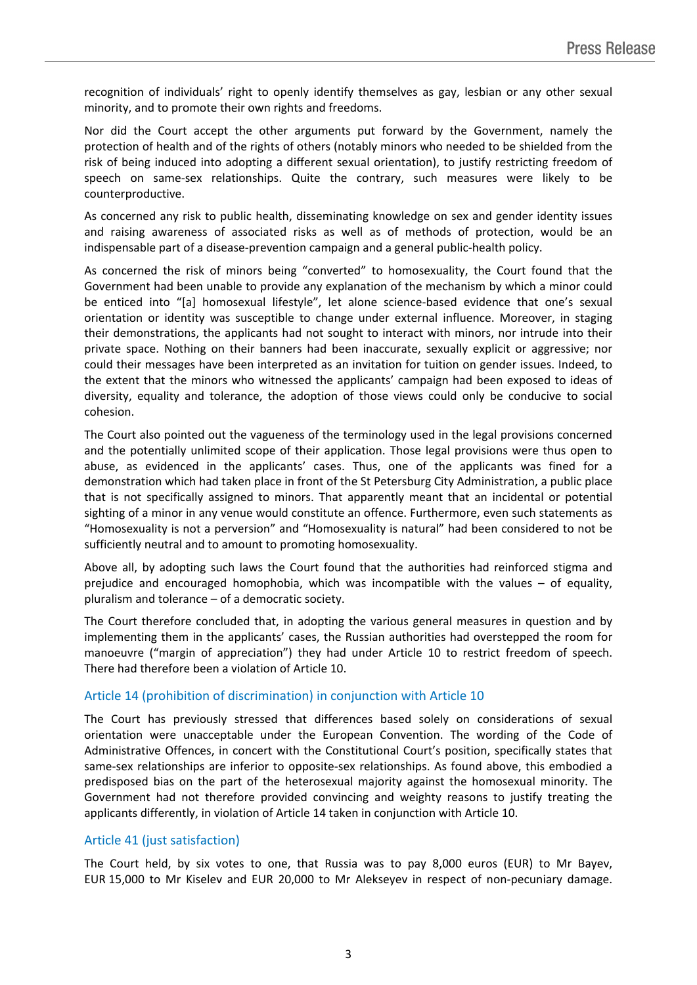recognition of individuals' right to openly identify themselves as gay, lesbian or any other sexual minority, and to promote their own rights and freedoms.

Nor did the Court accept the other arguments put forward by the Government, namely the protection of health and of the rights of others (notably minors who needed to be shielded from the risk of being induced into adopting a different sexual orientation), to justify restricting freedom of speech on same-sex relationships. Quite the contrary, such measures were likely to be counterproductive.

As concerned any risk to public health, disseminating knowledge on sex and gender identity issues and raising awareness of associated risks as well as of methods of protection, would be an indispensable part of a disease-prevention campaign and a general public-health policy.

As concerned the risk of minors being "converted" to homosexuality, the Court found that the Government had been unable to provide any explanation of the mechanism by which a minor could be enticed into "[a] homosexual lifestyle", let alone science-based evidence that one's sexual orientation or identity was susceptible to change under external influence. Moreover, in staging their demonstrations, the applicants had not sought to interact with minors, nor intrude into their private space. Nothing on their banners had been inaccurate, sexually explicit or aggressive; nor could their messages have been interpreted as an invitation for tuition on gender issues. Indeed, to the extent that the minors who witnessed the applicants' campaign had been exposed to ideas of diversity, equality and tolerance, the adoption of those views could only be conducive to social cohesion.

The Court also pointed out the vagueness of the terminology used in the legal provisions concerned and the potentially unlimited scope of their application. Those legal provisions were thus open to abuse, as evidenced in the applicants' cases. Thus, one of the applicants was fined for a demonstration which had taken place in front of the St Petersburg City Administration, a public place that is not specifically assigned to minors. That apparently meant that an incidental or potential sighting of a minor in any venue would constitute an offence. Furthermore, even such statements as "Homosexuality is not a perversion" and "Homosexuality is natural" had been considered to not be sufficiently neutral and to amount to promoting homosexuality.

Above all, by adopting such laws the Court found that the authorities had reinforced stigma and prejudice and encouraged homophobia, which was incompatible with the values – of equality, pluralism and tolerance – of a democratic society.

The Court therefore concluded that, in adopting the various general measures in question and by implementing them in the applicants' cases, the Russian authorities had overstepped the room for manoeuvre ("margin of appreciation") they had under Article 10 to restrict freedom of speech. There had therefore been a violation of Article 10.

#### Article 14 (prohibition of discrimination) in conjunction with Article 10

The Court has previously stressed that differences based solely on considerations of sexual orientation were unacceptable under the European Convention. The wording of the Code of Administrative Offences, in concert with the Constitutional Court's position, specifically states that same-sex relationships are inferior to opposite-sex relationships. As found above, this embodied a predisposed bias on the part of the heterosexual majority against the homosexual minority. The Government had not therefore provided convincing and weighty reasons to justify treating the applicants differently, in violation of Article 14 taken in conjunction with Article 10.

#### Article 41 (just satisfaction)

The Court held, by six votes to one, that Russia was to pay 8,000 euros (EUR) to Mr Bayev, EUR 15,000 to Mr Kiselev and EUR 20,000 to Mr Alekseyev in respect of non-pecuniary damage.